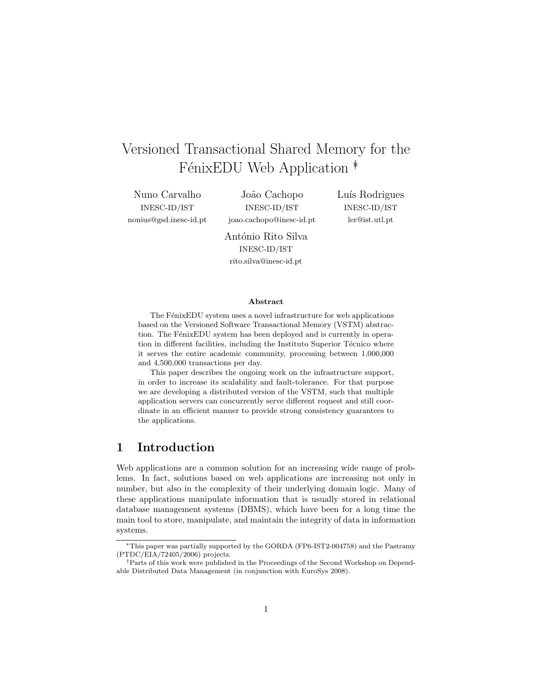# Versioned Transactional Shared Memory for the FénixEDU Web Application <sup>†</sup>

Nuno Carvalho INESC-ID/IST nonius@gsd.inesc-id.pt

João Cachopo INESC-ID/IST joao.cachopo@inesc-id.pt

António Rito Silva INESC-ID/IST rito.silva@inesc-id.pt

Luís Rodrigues INESC-ID/IST ler@ist.utl.pt

#### Abstract

The FénixEDU system uses a novel infrastructure for web applications based on the Versioned Software Transactional Memory (VSTM) abstraction. The FénixEDU system has been deployed and is currently in operation in different facilities, including the Instituto Superior Técnico where it serves the entire academic community, processing between 1,000,000 and 4,500,000 transactions per day.

This paper describes the ongoing work on the infrastructure support, in order to increase its scalability and fault-tolerance. For that purpose we are developing a distributed version of the VSTM, such that multiple application servers can concurrently serve different request and still coordinate in an efficient manner to provide strong consistency guarantees to the applications.

# 1 Introduction

Web applications are a common solution for an increasing wide range of problems. In fact, solutions based on web applications are increasing not only in number, but also in the complexity of their underlying domain logic. Many of these applications manipulate information that is usually stored in relational database management systems (DBMS), which have been for a long time the main tool to store, manipulate, and maintain the integrity of data in information systems.

<sup>∗</sup>This paper was partially supported by the GORDA (FP6-IST2-004758) and the Pastramy (PTDC/EIA/72405/2006) projects.

<sup>†</sup>Parts of this work were published in the Proceedings of the Second Workshop on Dependable Distributed Data Management (in conjunction with EuroSys 2008).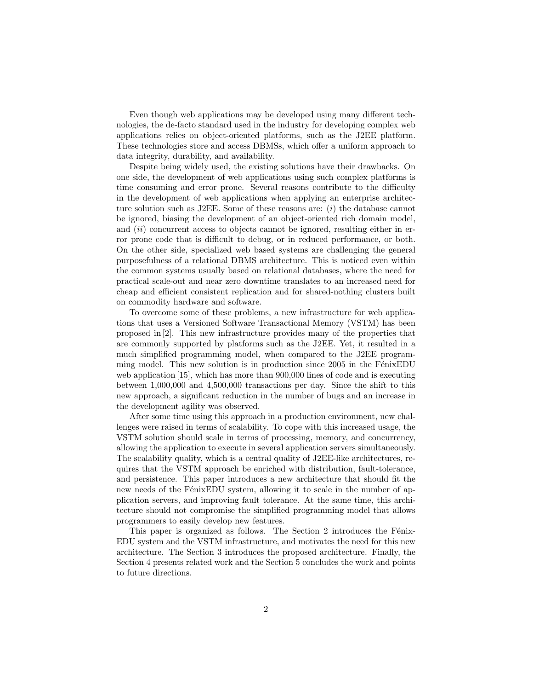Even though web applications may be developed using many different technologies, the de-facto standard used in the industry for developing complex web applications relies on object-oriented platforms, such as the J2EE platform. These technologies store and access DBMSs, which offer a uniform approach to data integrity, durability, and availability.

Despite being widely used, the existing solutions have their drawbacks. On one side, the development of web applications using such complex platforms is time consuming and error prone. Several reasons contribute to the difficulty in the development of web applications when applying an enterprise architecture solution such as J2EE. Some of these reasons are:  $(i)$  the database cannot be ignored, biasing the development of an object-oriented rich domain model, and  $(ii)$  concurrent access to objects cannot be ignored, resulting either in error prone code that is difficult to debug, or in reduced performance, or both. On the other side, specialized web based systems are challenging the general purposefulness of a relational DBMS architecture. This is noticed even within the common systems usually based on relational databases, where the need for practical scale-out and near zero downtime translates to an increased need for cheap and efficient consistent replication and for shared-nothing clusters built on commodity hardware and software.

To overcome some of these problems, a new infrastructure for web applications that uses a Versioned Software Transactional Memory (VSTM) has been proposed in [2]. This new infrastructure provides many of the properties that are commonly supported by platforms such as the J2EE. Yet, it resulted in a much simplified programming model, when compared to the J2EE programming model. This new solution is in production since 2005 in the FénixEDU web application [15], which has more than 900,000 lines of code and is executing between 1,000,000 and 4,500,000 transactions per day. Since the shift to this new approach, a significant reduction in the number of bugs and an increase in the development agility was observed.

After some time using this approach in a production environment, new challenges were raised in terms of scalability. To cope with this increased usage, the VSTM solution should scale in terms of processing, memory, and concurrency, allowing the application to execute in several application servers simultaneously. The scalability quality, which is a central quality of J2EE-like architectures, requires that the VSTM approach be enriched with distribution, fault-tolerance, and persistence. This paper introduces a new architecture that should fit the new needs of the FénixEDU system, allowing it to scale in the number of application servers, and improving fault tolerance. At the same time, this architecture should not compromise the simplified programming model that allows programmers to easily develop new features.

This paper is organized as follows. The Section 2 introduces the Fénix-EDU system and the VSTM infrastructure, and motivates the need for this new architecture. The Section 3 introduces the proposed architecture. Finally, the Section 4 presents related work and the Section 5 concludes the work and points to future directions.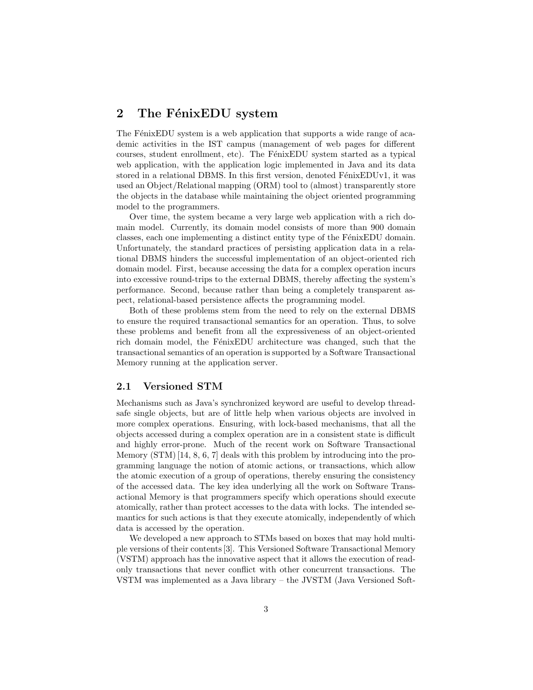## 2 The FénixEDU system

The FénixEDU system is a web application that supports a wide range of academic activities in the IST campus (management of web pages for different courses, student enrollment, etc). The FénixEDU system started as a typical web application, with the application logic implemented in Java and its data stored in a relational DBMS. In this first version, denoted FénixEDUv1, it was used an Object/Relational mapping (ORM) tool to (almost) transparently store the objects in the database while maintaining the object oriented programming model to the programmers.

Over time, the system became a very large web application with a rich domain model. Currently, its domain model consists of more than 900 domain classes, each one implementing a distinct entity type of the FénixEDU domain. Unfortunately, the standard practices of persisting application data in a relational DBMS hinders the successful implementation of an object-oriented rich domain model. First, because accessing the data for a complex operation incurs into excessive round-trips to the external DBMS, thereby affecting the system's performance. Second, because rather than being a completely transparent aspect, relational-based persistence affects the programming model.

Both of these problems stem from the need to rely on the external DBMS to ensure the required transactional semantics for an operation. Thus, to solve these problems and benefit from all the expressiveness of an object-oriented rich domain model, the FénixEDU architecture was changed, such that the transactional semantics of an operation is supported by a Software Transactional Memory running at the application server.

### 2.1 Versioned STM

Mechanisms such as Java's synchronized keyword are useful to develop threadsafe single objects, but are of little help when various objects are involved in more complex operations. Ensuring, with lock-based mechanisms, that all the objects accessed during a complex operation are in a consistent state is difficult and highly error-prone. Much of the recent work on Software Transactional Memory (STM) [14, 8, 6, 7] deals with this problem by introducing into the programming language the notion of atomic actions, or transactions, which allow the atomic execution of a group of operations, thereby ensuring the consistency of the accessed data. The key idea underlying all the work on Software Transactional Memory is that programmers specify which operations should execute atomically, rather than protect accesses to the data with locks. The intended semantics for such actions is that they execute atomically, independently of which data is accessed by the operation.

We developed a new approach to STMs based on boxes that may hold multiple versions of their contents [3]. This Versioned Software Transactional Memory (VSTM) approach has the innovative aspect that it allows the execution of readonly transactions that never conflict with other concurrent transactions. The VSTM was implemented as a Java library – the JVSTM (Java Versioned Soft-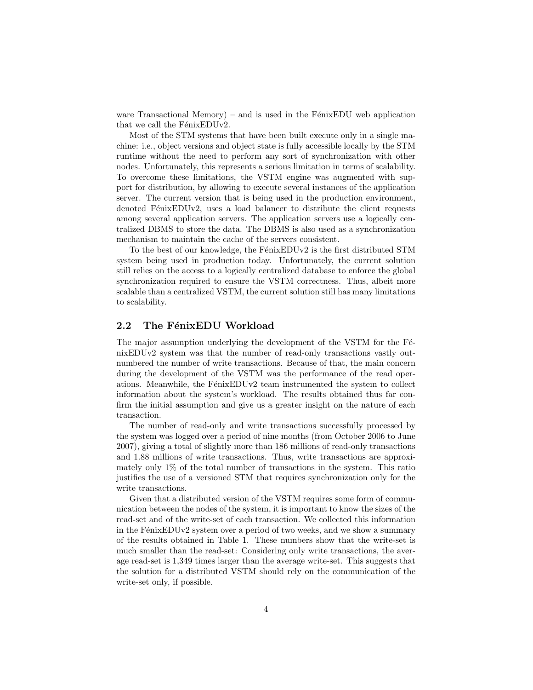ware Transactional Memory) – and is used in the  $FénixEDU$  web application that we call the  $FénixEDUv2$ .

Most of the STM systems that have been built execute only in a single machine: i.e., object versions and object state is fully accessible locally by the STM runtime without the need to perform any sort of synchronization with other nodes. Unfortunately, this represents a serious limitation in terms of scalability. To overcome these limitations, the VSTM engine was augmented with support for distribution, by allowing to execute several instances of the application server. The current version that is being used in the production environment, denoted F $énixEDUv2$ , uses a load balancer to distribute the client requests among several application servers. The application servers use a logically centralized DBMS to store the data. The DBMS is also used as a synchronization mechanism to maintain the cache of the servers consistent.

To the best of our knowledge, the FénixEDUv2 is the first distributed STM system being used in production today. Unfortunately, the current solution still relies on the access to a logically centralized database to enforce the global synchronization required to ensure the VSTM correctness. Thus, albeit more scalable than a centralized VSTM, the current solution still has many limitations to scalability.

## 2.2 The FénixEDU Workload

The major assumption underlying the development of the VSTM for the FenixEDUv2 system was that the number of read-only transactions vastly outnumbered the number of write transactions. Because of that, the main concern during the development of the VSTM was the performance of the read operations. Meanwhile, the FénixEDUv2 team instrumented the system to collect information about the system's workload. The results obtained thus far confirm the initial assumption and give us a greater insight on the nature of each transaction.

The number of read-only and write transactions successfully processed by the system was logged over a period of nine months (from October 2006 to June 2007), giving a total of slightly more than 186 millions of read-only transactions and 1.88 millions of write transactions. Thus, write transactions are approximately only 1% of the total number of transactions in the system. This ratio justifies the use of a versioned STM that requires synchronization only for the write transactions.

Given that a distributed version of the VSTM requires some form of communication between the nodes of the system, it is important to know the sizes of the read-set and of the write-set of each transaction. We collected this information in the FénixEDUv2 system over a period of two weeks, and we show a summary of the results obtained in Table 1. These numbers show that the write-set is much smaller than the read-set: Considering only write transactions, the average read-set is 1,349 times larger than the average write-set. This suggests that the solution for a distributed VSTM should rely on the communication of the write-set only, if possible.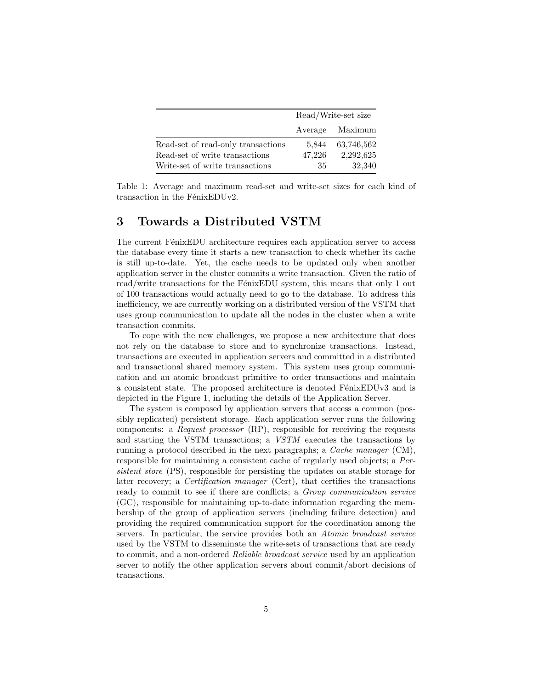|                                    | Read/Write-set size |                 |
|------------------------------------|---------------------|-----------------|
|                                    |                     | Average Maximum |
| Read-set of read-only transactions | 5.844               | 63,746,562      |
| Read-set of write transactions     | 47,226              | 2,292,625       |
| Write-set of write transactions    | 35                  | 32,340          |

Table 1: Average and maximum read-set and write-set sizes for each kind of transaction in the FénixEDUv2.

## 3 Towards a Distributed VSTM

The current FénixEDU architecture requires each application server to access the database every time it starts a new transaction to check whether its cache is still up-to-date. Yet, the cache needs to be updated only when another application server in the cluster commits a write transaction. Given the ratio of read/write transactions for the FénixEDU system, this means that only 1 out of 100 transactions would actually need to go to the database. To address this inefficiency, we are currently working on a distributed version of the VSTM that uses group communication to update all the nodes in the cluster when a write transaction commits.

To cope with the new challenges, we propose a new architecture that does not rely on the database to store and to synchronize transactions. Instead, transactions are executed in application servers and committed in a distributed and transactional shared memory system. This system uses group communication and an atomic broadcast primitive to order transactions and maintain a consistent state. The proposed architecture is denoted FénixEDUv3 and is depicted in the Figure 1, including the details of the Application Server.

The system is composed by application servers that access a common (possibly replicated) persistent storage. Each application server runs the following components: a Request processor (RP), responsible for receiving the requests and starting the VSTM transactions; a VSTM executes the transactions by running a protocol described in the next paragraphs; a Cache manager (CM), responsible for maintaining a consistent cache of regularly used objects; a Persistent store (PS), responsible for persisting the updates on stable storage for later recovery; a Certification manager (Cert), that certifies the transactions ready to commit to see if there are conflicts; a Group communication service (GC), responsible for maintaining up-to-date information regarding the membership of the group of application servers (including failure detection) and providing the required communication support for the coordination among the servers. In particular, the service provides both an Atomic broadcast service used by the VSTM to disseminate the write-sets of transactions that are ready to commit, and a non-ordered Reliable broadcast service used by an application server to notify the other application servers about commit/abort decisions of transactions.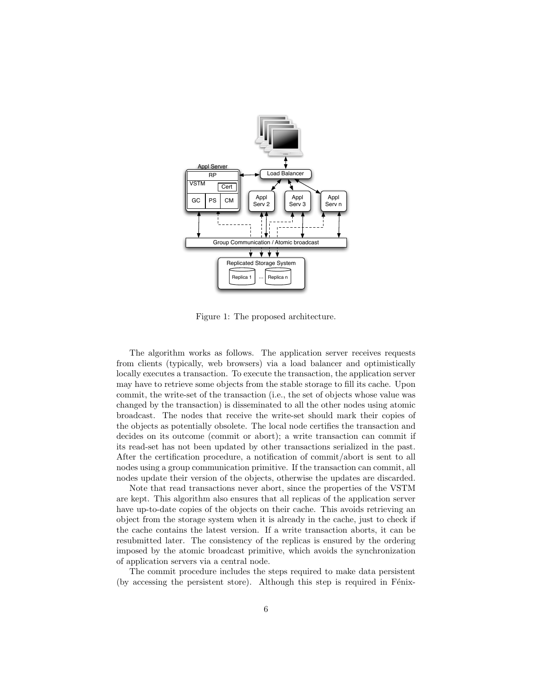

Figure 1: The proposed architecture.

The algorithm works as follows. The application server receives requests from clients (typically, web browsers) via a load balancer and optimistically locally executes a transaction. To execute the transaction, the application server may have to retrieve some objects from the stable storage to fill its cache. Upon commit, the write-set of the transaction (i.e., the set of objects whose value was changed by the transaction) is disseminated to all the other nodes using atomic broadcast. The nodes that receive the write-set should mark their copies of the objects as potentially obsolete. The local node certifies the transaction and decides on its outcome (commit or abort); a write transaction can commit if its read-set has not been updated by other transactions serialized in the past. After the certification procedure, a notification of commit/abort is sent to all nodes using a group communication primitive. If the transaction can commit, all nodes update their version of the objects, otherwise the updates are discarded.

Note that read transactions never abort, since the properties of the VSTM are kept. This algorithm also ensures that all replicas of the application server have up-to-date copies of the objects on their cache. This avoids retrieving an object from the storage system when it is already in the cache, just to check if the cache contains the latest version. If a write transaction aborts, it can be resubmitted later. The consistency of the replicas is ensured by the ordering imposed by the atomic broadcast primitive, which avoids the synchronization of application servers via a central node.

The commit procedure includes the steps required to make data persistent (by accessing the persistent store). Although this step is required in  $Fénix-$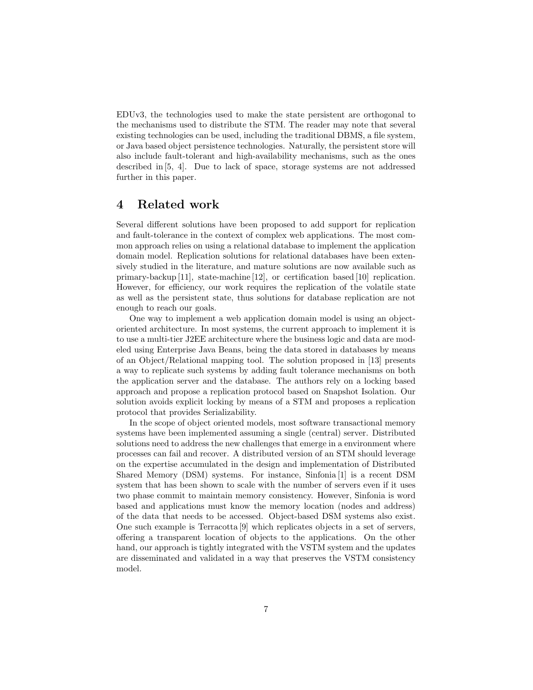EDUv3, the technologies used to make the state persistent are orthogonal to the mechanisms used to distribute the STM. The reader may note that several existing technologies can be used, including the traditional DBMS, a file system, or Java based object persistence technologies. Naturally, the persistent store will also include fault-tolerant and high-availability mechanisms, such as the ones described in [5, 4]. Due to lack of space, storage systems are not addressed further in this paper.

## 4 Related work

Several different solutions have been proposed to add support for replication and fault-tolerance in the context of complex web applications. The most common approach relies on using a relational database to implement the application domain model. Replication solutions for relational databases have been extensively studied in the literature, and mature solutions are now available such as primary-backup [11], state-machine [12], or certification based [10] replication. However, for efficiency, our work requires the replication of the volatile state as well as the persistent state, thus solutions for database replication are not enough to reach our goals.

One way to implement a web application domain model is using an objectoriented architecture. In most systems, the current approach to implement it is to use a multi-tier J2EE architecture where the business logic and data are modeled using Enterprise Java Beans, being the data stored in databases by means of an Object/Relational mapping tool. The solution proposed in [13] presents a way to replicate such systems by adding fault tolerance mechanisms on both the application server and the database. The authors rely on a locking based approach and propose a replication protocol based on Snapshot Isolation. Our solution avoids explicit locking by means of a STM and proposes a replication protocol that provides Serializability.

In the scope of object oriented models, most software transactional memory systems have been implemented assuming a single (central) server. Distributed solutions need to address the new challenges that emerge in a environment where processes can fail and recover. A distributed version of an STM should leverage on the expertise accumulated in the design and implementation of Distributed Shared Memory (DSM) systems. For instance, Sinfonia [1] is a recent DSM system that has been shown to scale with the number of servers even if it uses two phase commit to maintain memory consistency. However, Sinfonia is word based and applications must know the memory location (nodes and address) of the data that needs to be accessed. Object-based DSM systems also exist. One such example is Terracotta [9] which replicates objects in a set of servers, offering a transparent location of objects to the applications. On the other hand, our approach is tightly integrated with the VSTM system and the updates are disseminated and validated in a way that preserves the VSTM consistency model.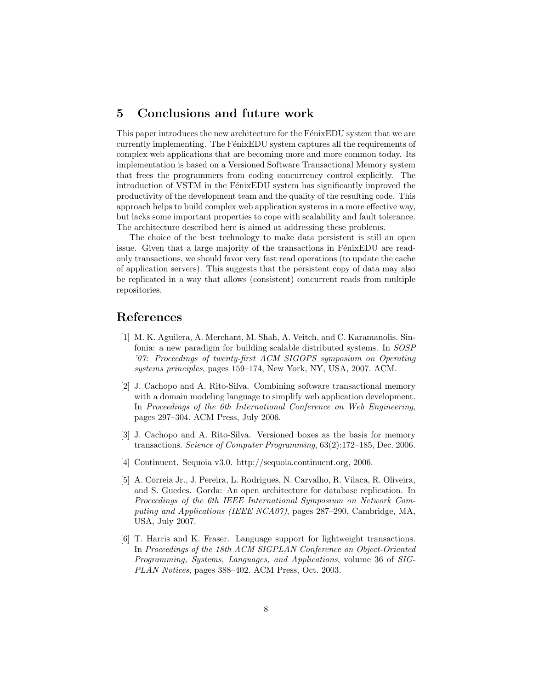## 5 Conclusions and future work

This paper introduces the new architecture for the FénixEDU system that we are currently implementing. The FénixEDU system captures all the requirements of complex web applications that are becoming more and more common today. Its implementation is based on a Versioned Software Transactional Memory system that frees the programmers from coding concurrency control explicitly. The introduction of VSTM in the FénixEDU system has significantly improved the productivity of the development team and the quality of the resulting code. This approach helps to build complex web application systems in a more effective way, but lacks some important properties to cope with scalability and fault tolerance. The architecture described here is aimed at addressing these problems.

The choice of the best technology to make data persistent is still an open issue. Given that a large majority of the transactions in FénixEDU are readonly transactions, we should favor very fast read operations (to update the cache of application servers). This suggests that the persistent copy of data may also be replicated in a way that allows (consistent) concurrent reads from multiple repositories.

## References

- [1] M. K. Aguilera, A. Merchant, M. Shah, A. Veitch, and C. Karamanolis. Sinfonia: a new paradigm for building scalable distributed systems. In SOSP '07: Proceedings of twenty-first ACM SIGOPS symposium on Operating systems principles, pages 159–174, New York, NY, USA, 2007. ACM.
- [2] J. Cachopo and A. Rito-Silva. Combining software transactional memory with a domain modeling language to simplify web application development. In Proceedings of the 6th International Conference on Web Engineering, pages 297–304. ACM Press, July 2006.
- [3] J. Cachopo and A. Rito-Silva. Versioned boxes as the basis for memory transactions. Science of Computer Programming, 63(2):172–185, Dec. 2006.
- [4] Continuent. Sequoia v3.0. http://sequoia.continuent.org, 2006.
- [5] A. Correia Jr., J. Pereira, L. Rodrigues, N. Carvalho, R. Vilaca, R. Oliveira, and S. Guedes. Gorda: An open architecture for database replication. In Proceedings of the 6th IEEE International Symposium on Network Computing and Applications (IEEE NCA07), pages 287–290, Cambridge, MA, USA, July 2007.
- [6] T. Harris and K. Fraser. Language support for lightweight transactions. In Proceedings of the 18th ACM SIGPLAN Conference on Object-Oriented Programming, Systems, Languages, and Applications, volume 36 of SIG-PLAN Notices, pages 388–402. ACM Press, Oct. 2003.